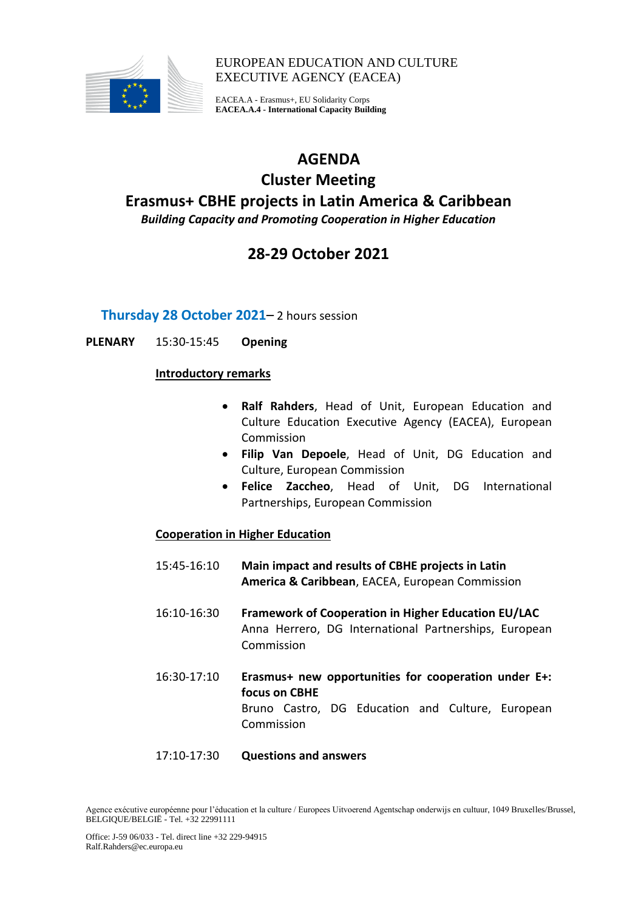

EUROPEAN EDUCATION AND CULTURE EXECUTIVE AGENCY (EACEA)

EACEA.A - Erasmus+, EU Solidarity Corps **EACEA.A.4 - International Capacity Building**

## **AGENDA**

### **Cluster Meeting Erasmus+ CBHE projects in Latin America & Caribbean** *Building Capacity and Promoting Cooperation in Higher Education*

## **28-29 October 2021**

**Thursday 28 October 2021**– 2 hours session

**PLENARY** 15:30-15:45 **Opening**

#### **Introductory remarks**

- **Ralf Rahders**, Head of Unit, European Education and Culture Education Executive Agency (EACEA), European Commission
- **Filip Van Depoele**, Head of Unit, DG Education and Culture, European Commission
- **Felice Zaccheo**, Head of Unit, DG International Partnerships, European Commission

#### **Cooperation in Higher Education**

- 15:45-16:10 **Main impact and results of CBHE projects in Latin America & Caribbean**, EACEA, European Commission
- 16:10-16:30 **Framework of Cooperation in Higher Education EU/LAC** Anna Herrero, DG International Partnerships, European Commission
- 16:30-17:10 **Erasmus+ new opportunities for cooperation under E+: focus on CBHE** Bruno Castro, DG Education and Culture, European Commission

#### 17:10-17:30 **Questions and answers**

Agence exécutive européenne pour l'éducation et la culture / Europees Uitvoerend Agentschap onderwijs en cultuur, 1049 Bruxelles/Brussel, BELGIQUE/BELGIË - Tel. +32 22991111